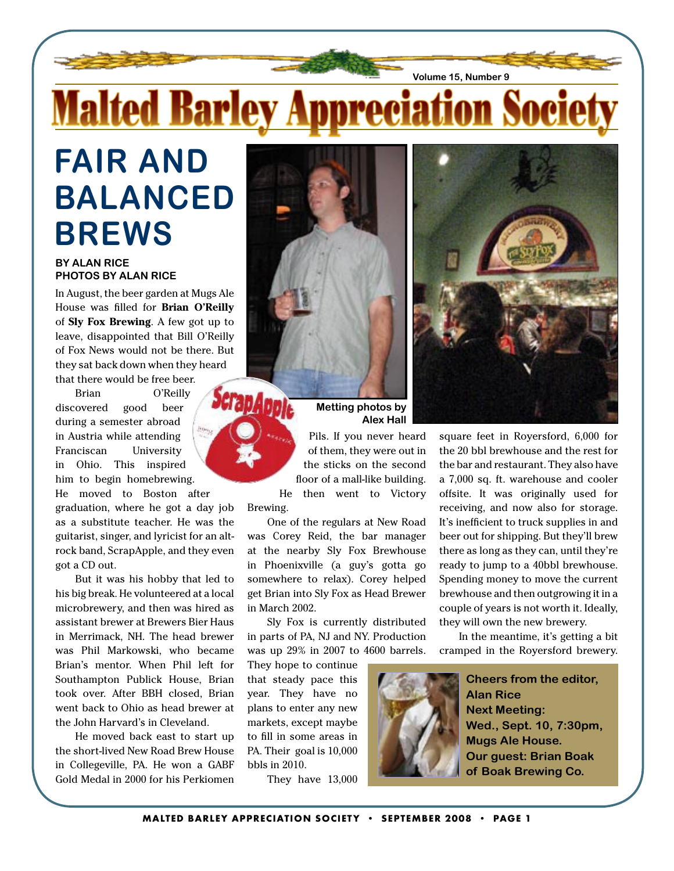# **Malted Barl**

## **Fair and Balanced Brews**

#### **BY ALAN RICE PHOTOS BY ALAN RICE**

In August, the beer garden at Mugs Ale House was filled for **Brian O'Reilly** of **Sly Fox Brewing**. A few got up to leave, disappointed that Bill O'Reilly of Fox News would not be there. But they sat back down when they heard that there would be free beer.

Brian O'Reilly

discovered good beer during a semester abroad in Austria while attending Franciscan University in Ohio. This inspired him to begin homebrewing.

He moved to Boston after graduation, where he got a day job as a substitute teacher. He was the guitarist, singer, and lyricist for an altrock band, ScrapApple, and they even got a CD out.

But it was his hobby that led to his big break. He volunteered at a local microbrewery, and then was hired as assistant brewer at Brewers Bier Haus in Merrimack, NH. The head brewer was Phil Markowski, who became Brian's mentor. When Phil left for Southampton Publick House, Brian took over. After BBH closed, Brian went back to Ohio as head brewer at the John Harvard's in Cleveland.

He moved back east to start up the short-lived New Road Brew House in Collegeville, PA. He won a GABF Gold Medal in 2000 for his Perkiomen





Pils. If you never heard of them, they were out in the sticks on the second floor of a mall-like building. He then went to Victory

Brewing.

One of the regulars at New Road was Corey Reid, the bar manager at the nearby Sly Fox Brewhouse in Phoenixville (a guy's gotta go somewhere to relax). Corey helped get Brian into Sly Fox as Head Brewer in March 2002.

Sly Fox is currently distributed in parts of PA, NJ and NY. Production was up 29% in 2007 to 4600 barrels.

They hope to continue that steady pace this year. They have no plans to enter any new markets, except maybe to fill in some areas in PA. Their goal is 10,000 bbls in 2010.

They have 13,000



**Volume 15, Number 9**

square feet in Royersford, 6,000 for the 20 bbl brewhouse and the rest for the bar and restaurant. They also have a 7,000 sq. ft. warehouse and cooler offsite. It was originally used for receiving, and now also for storage. It's inefficient to truck supplies in and beer out for shipping. But they'll brew there as long as they can, until they're ready to jump to a 40bbl brewhouse. Spending money to move the current brewhouse and then outgrowing it in a couple of years is not worth it. Ideally, they will own the new brewery.

In the meantime, it's getting a bit cramped in the Royersford brewery.



**Cheers from the editor, Alan Rice Next Meeting: Wed., Sept. 10, 7:30pm, Mugs Ale House. Our guest: Brian Boak of Boak Brewing Co.**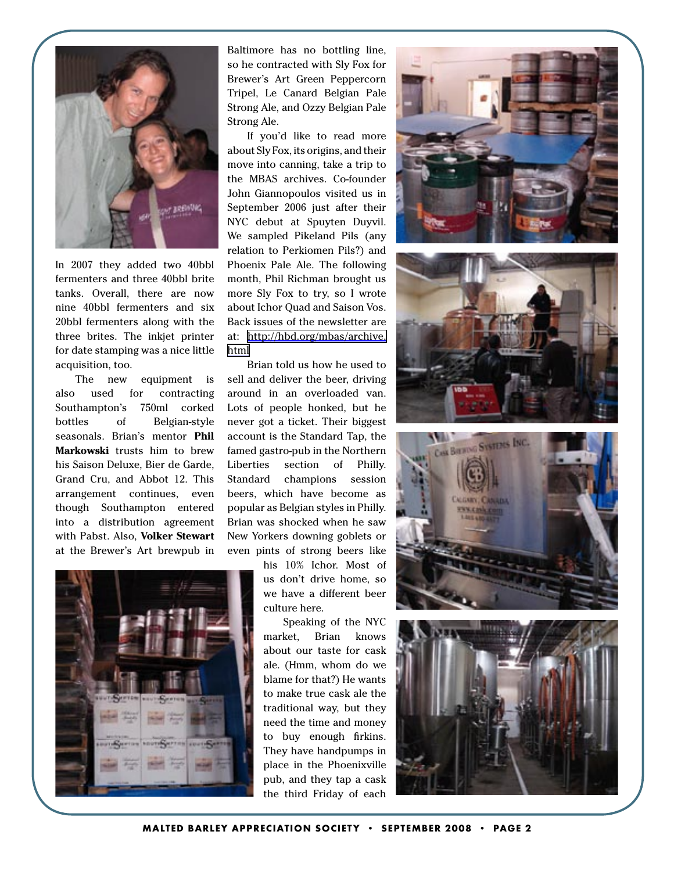

In 2007 they added two 40bbl fermenters and three 40bbl brite tanks. Overall, there are now nine 40bbl fermenters and six 20bbl fermenters along with the three brites. The inkjet printer for date stamping was a nice little acquisition, too.

The new equipment is also used for contracting Southampton's 750ml corked bottles of Belgian-style seasonals. Brian's mentor **Phil Markowski** trusts him to brew his Saison Deluxe, Bier de Garde, Grand Cru, and Abbot 12. This arrangement continues, even though Southampton entered into a distribution agreement with Pabst. Also, **Volker Stewart** at the Brewer's Art brewpub in



Baltimore has no bottling line, so he contracted with Sly Fox for Brewer's Art Green Peppercorn Tripel, Le Canard Belgian Pale Strong Ale, and Ozzy Belgian Pale Strong Ale.

If you'd like to read more about Sly Fox, its origins, and their move into canning, take a trip to the MBAS archives. Co-founder John Giannopoulos visited us in September 2006 just after their NYC debut at Spuyten Duyvil. We sampled Pikeland Pils (any relation to Perkiomen Pils?) and Phoenix Pale Ale. The following month, Phil Richman brought us more Sly Fox to try, so I wrote about Ichor Quad and Saison Vos. Back issues of the newsletter are at: [http://hbd.org/mbas/archive.](http://hbd.org/mbas/archive.html) [html](http://hbd.org/mbas/archive.html)

Brian told us how he used to sell and deliver the beer, driving around in an overloaded van. Lots of people honked, but he never got a ticket. Their biggest account is the Standard Tap, the famed gastro-pub in the Northern Liberties section of Philly. Standard champions session beers, which have become as popular as Belgian styles in Philly. Brian was shocked when he saw New Yorkers downing goblets or even pints of strong beers like

> his 10% Ichor. Most of us don't drive home, so we have a different beer culture here.

Speaking of the NYC market, Brian knows about our taste for cask ale. (Hmm, whom do we blame for that?) He wants to make true cask ale the traditional way, but they need the time and money to buy enough firkins. They have handpumps in place in the Phoenixville pub, and they tap a cask the third Friday of each

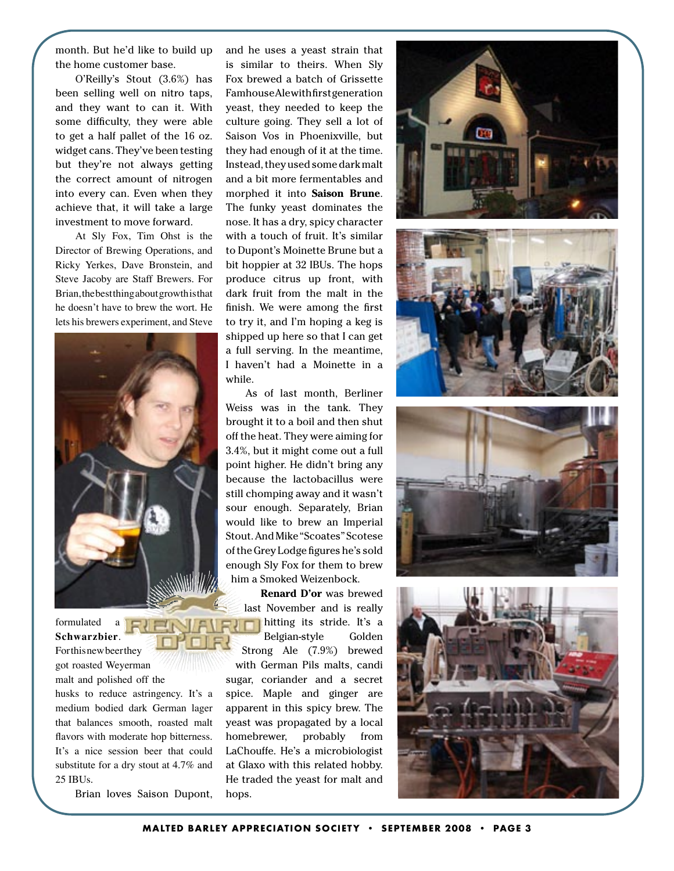month. But he'd like to build up the home customer base.

O'Reilly's Stout (3.6%) has been selling well on nitro taps, and they want to can it. With some difficulty, they were able to get a half pallet of the 16 oz. widget cans. They've been testing but they're not always getting the correct amount of nitrogen into every can. Even when they achieve that, it will take a large investment to move forward.

At Sly Fox, Tim Ohst is the Director of Brewing Operations, and Ricky Yerkes, Dave Bronstein, and Steve Jacoby are Staff Brewers. For Brian, the best thing about growth is that he doesn't have to brew the wort. He lets his brewers experiment, and Steve



formulated a **Schwarzbier**. For this new beer they got roasted Weyerman

malt and polished off the

husks to reduce astringency. It's a medium bodied dark German lager that balances smooth, roasted malt flavors with moderate hop bitterness. It's a nice session beer that could substitute for a dry stout at 4.7% and 25 IBUs.

Brian loves Saison Dupont,

and he uses a yeast strain that is similar to theirs. When Sly Fox brewed a batch of Grissette Famhouse Ale with first generation yeast, they needed to keep the culture going. They sell a lot of Saison Vos in Phoenixville, but they had enough of it at the time. Instead, they used some dark malt and a bit more fermentables and morphed it into **Saison Brune**. The funky yeast dominates the nose. It has a dry, spicy character with a touch of fruit. It's similar to Dupont's Moinette Brune but a bit hoppier at 32 IBUs. The hops produce citrus up front, with dark fruit from the malt in the finish. We were among the first to try it, and I'm hoping a keg is shipped up here so that I can get a full serving. In the meantime, I haven't had a Moinette in a while.

As of last month, Berliner Weiss was in the tank. They brought it to a boil and then shut off the heat. They were aiming for 3.4%, but it might come out a full point higher. He didn't bring any because the lactobacillus were still chomping away and it wasn't sour enough. Separately, Brian would like to brew an Imperial Stout. And Mike "Scoates" Scotese of the Grey Lodge figures he's sold enough Sly Fox for them to brew him a Smoked Weizenbock.

**Renard D'or** was brewed last November and is really hitting its stride. It's a Belgian-style Golden Strong Ale (7.9%) brewed with German Pils malts, candi sugar, coriander and a secret spice. Maple and ginger are apparent in this spicy brew. The yeast was propagated by a local homebrewer, probably from LaChouffe. He's a microbiologist at Glaxo with this related hobby. He traded the yeast for malt and hops.

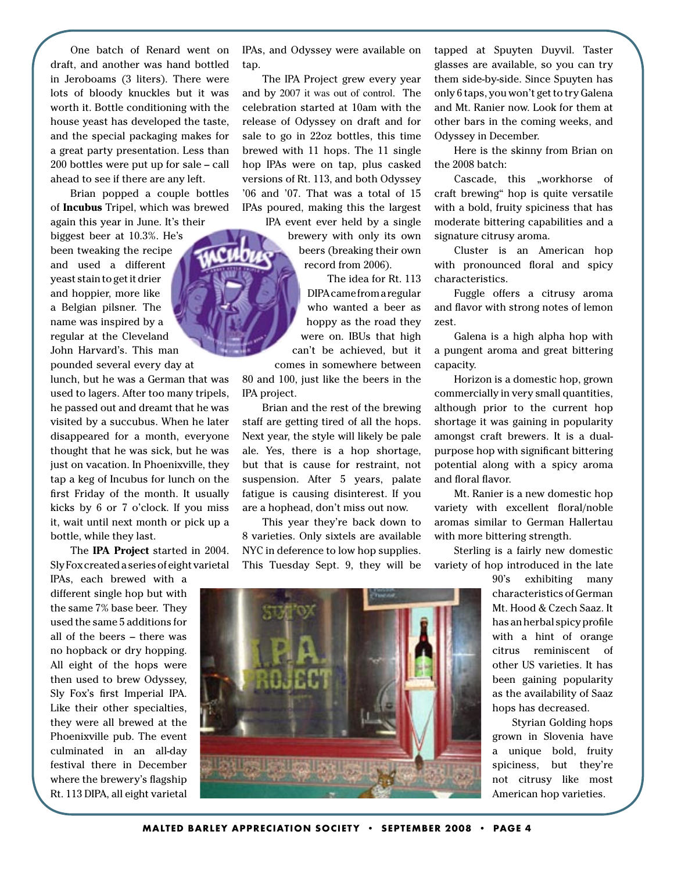One batch of Renard went on draft, and another was hand bottled in Jeroboams (3 liters). There were lots of bloody knuckles but it was worth it. Bottle conditioning with the house yeast has developed the taste, and the special packaging makes for a great party presentation. Less than 200 bottles were put up for sale – call ahead to see if there are any left.

Brian popped a couple bottles of **Incubus** Tripel, which was brewed again this year in June. It's their

biggest beer at 10.3%. He's been tweaking the recipe and used a different yeast stain to get it drier and hoppier, more like a Belgian pilsner. The name was inspired by a regular at the Cleveland John Harvard's. This man pounded several every day at

lunch, but he was a German that was used to lagers. After too many tripels, he passed out and dreamt that he was visited by a succubus. When he later disappeared for a month, everyone thought that he was sick, but he was just on vacation. In Phoenixville, they tap a keg of Incubus for lunch on the first Friday of the month. It usually kicks by 6 or 7 o'clock. If you miss it, wait until next month or pick up a bottle, while they last.

The **IPA Project** started in 2004. Sly Fox created a series of eight varietal

IPAs, each brewed with a different single hop but with the same 7% base beer. They used the same 5 additions for all of the beers – there was no hopback or dry hopping. All eight of the hops were then used to brew Odyssey, Sly Fox's first Imperial IPA. Like their other specialties, they were all brewed at the Phoenixville pub. The event culminated in an all-day festival there in December where the brewery's flagship Rt. 113 DIPA, all eight varietal IPAs, and Odyssey were available on tap.

The IPA Project grew every year and by 2007 it was out of control. The celebration started at 10am with the release of Odyssey on draft and for sale to go in 22oz bottles, this time brewed with 11 hops. The 11 single hop IPAs were on tap, plus casked versions of Rt. 113, and both Odyssey '06 and '07. That was a total of 15 IPAs poured, making this the largest IPA event ever held by a single

brewery with only its own beers (breaking their own record from 2006).

The idea for Rt. 113 DIPA came from a regular who wanted a beer as hoppy as the road they were on. IBUs that high can't be achieved, but it

comes in somewhere between 80 and 100, just like the beers in the IPA project.

Brian and the rest of the brewing staff are getting tired of all the hops. Next year, the style will likely be pale ale. Yes, there is a hop shortage, but that is cause for restraint, not suspension. After 5 years, palate fatigue is causing disinterest. If you are a hophead, don't miss out now.

This year they're back down to 8 varieties. Only sixtels are available NYC in deference to low hop supplies. This Tuesday Sept. 9, they will be tapped at Spuyten Duyvil. Taster glasses are available, so you can try them side-by-side. Since Spuyten has only 6 taps, you won't get to try Galena and Mt. Ranier now. Look for them at other bars in the coming weeks, and Odyssey in December.

Here is the skinny from Brian on the 2008 batch:

Cascade, this "workhorse of craft brewing" hop is quite versatile with a bold, fruity spiciness that has moderate bittering capabilities and a signature citrusy aroma.

Cluster is an American hop with pronounced floral and spicy characteristics.

Fuggle offers a citrusy aroma and flavor with strong notes of lemon zest.

Galena is a high alpha hop with a pungent aroma and great bittering capacity.

Horizon is a domestic hop, grown commercially in very small quantities, although prior to the current hop shortage it was gaining in popularity amongst craft brewers. It is a dualpurpose hop with significant bittering potential along with a spicy aroma and floral flavor.

Mt. Ranier is a new domestic hop variety with excellent floral/noble aromas similar to German Hallertau with more bittering strength.

Sterling is a fairly new domestic variety of hop introduced in the late

> 90's exhibiting many characteristics of German Mt. Hood & Czech Saaz. It has an herbal spicy profile with a hint of orange citrus reminiscent of other US varieties. It has been gaining popularity as the availability of Saaz hops has decreased.

> Styrian Golding hops grown in Slovenia have a unique bold, fruity spiciness, but they're not citrusy like most American hop varieties.



**MALTED BARLEY APPRECIATION SOCIET Y • SEPTEMBER 2008 • PAGE**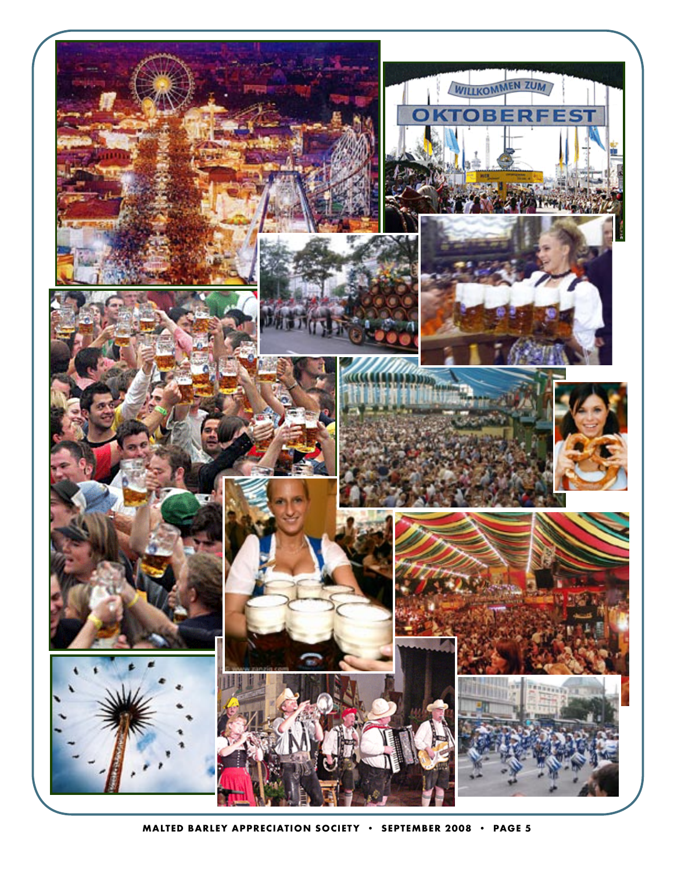

**MALTED BARLEY APPRECIATION SOCIETY • SEPTEMBER 2008 • PAGE 5**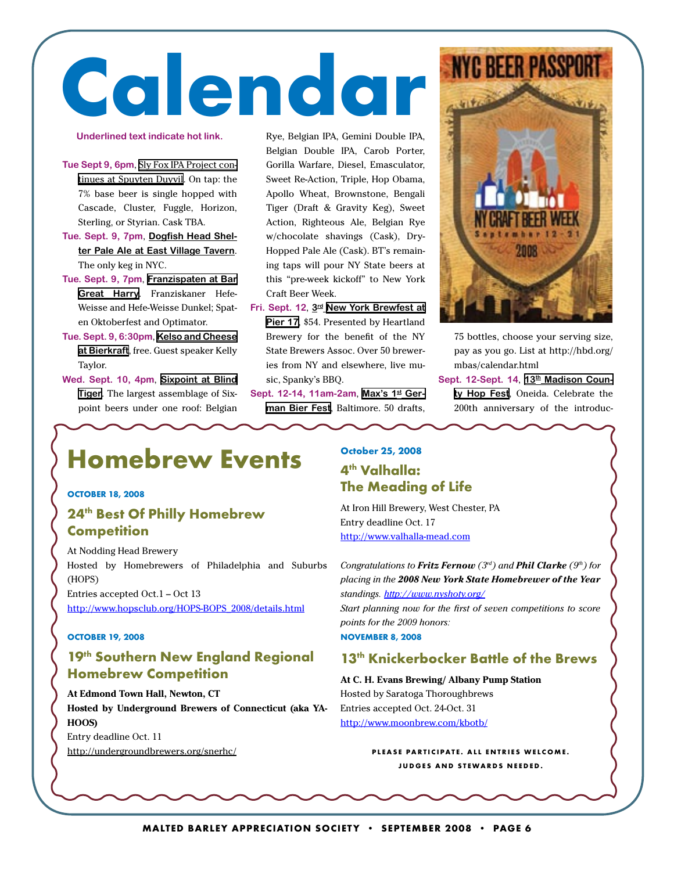# **Calendar**

#### **Underlined text indicate hot link.**

- **Tue Sept 9, 6pm**, [Sly Fox IPA Project con](http://www.spuytenduyvilnyc.com/)[tinues at Spuyten Duyvil.](http://www.spuytenduyvilnyc.com/) On tap: the 7% base beer is single hopped with Cascade, Cluster, Fuggle, Horizon, Sterling, or Styrian. Cask TBA.
- **Tue. Sept. 9, 7pm**, **Dogfish Head Shelter Pale Ale at East Village Tavern**. The only keg in NYC.
- **Tue. Sept. 9, 7pm**, **[Franzispaten at Bar](http://www.bargreatharry.com/)  [Great Harry](http://www.bargreatharry.com/)**. Franziskaner Hefe-Weisse and Hefe-Weisse Dunkel; Spaten Oktoberfest and Optimator.
- **Tue. Sept. 9, 6:30pm**, **[Kelso and Cheese](http://www.bierkraft.com/)  [at Bierkraft](http://www.bierkraft.com/)**, free. Guest speaker Kelly Taylor.
- **Wed. Sept. 10, 4pm**, **[Sixpoint at Blind](http://blindtigeralehouse.com/)  [Tiger](http://blindtigeralehouse.com/)**. The largest assemblage of Sixpoint beers under one roof: Belgian

Rye, Belgian IPA, Gemini Double IPA, Belgian Double IPA, Carob Porter, Gorilla Warfare, Diesel, Emasculator, Sweet Re-Action, Triple, Hop Obama, Apollo Wheat, Brownstone, Bengali Tiger (Draft & Gravity Keg), Sweet Action, Righteous Ale, Belgian Rye w/chocolate shavings (Cask), Dry-Hopped Pale Ale (Cask). BT's remaining taps will pour NY State beers at this "pre-week kickoff" to New York Craft Beer Week.

- **Fri. Sept. 12**, **3rd [New York Brewfest at](http://nybrewfest.com/) [Pier 17](http://nybrewfest.com/), \$54. Presented by Heartland** Brewery for the benefit of the NY State Brewers Assoc. Over 50 breweries from NY and elsewhere, live music, Spanky's BBQ.
- Sept. 12-14, 11am-2am, [Max's 1st Ger](http://www.maxs.com/)**[man Bier Fest](http://www.maxs.com/)**, Baltimore. 50 drafts,



75 bottles, choose your serving size, pay as you go. List at http://hbd.org/ mbas/calendar.html

Sept. 12-Sept. 14, 13<sup>th</sup> Madison Coun**[ty Hop Fest](http://www.zumschneider.com/events.htm)**, Oneida. Celebrate the 200th anniversary of the introduc-

### **Homebrew Events**

#### **October 18, 2008**

#### **24th Best Of Philly Homebrew Competition**

At Nodding Head Brewery Hosted by Homebrewers of Philadelphia and Suburbs (HOPS) Entries accepted Oct.1 – Oct 13 http://www.hopsclub.org/HOPS-BOPS\_2008/details.html

#### **October 19, 2008**

#### **19th Southern New England Regional Homebrew Competition**

**At Edmond Town Hall, Newton, CT Hosted by Underground Brewers of Connecticut (aka YA-HOOS)** Entry deadline Oct. 11 http://undergroundbrewers.org/snerhc/

#### **October 25, 2008 4th Valhalla: The Meading of Life**

At Iron Hill Brewery, West Chester, PA Entry deadline Oct. 17 http://www.valhalla-mead.com

*Congratulations to Fritz Fernow*  $(3<sup>rd</sup>)$  and **Phil Clarke**  $(9<sup>th</sup>)$  for *placing in the 2008 New York State Homebrewer of the Year standings. http://www.nyshoty.org/ Start planning now for the first of seven competitions to score points for the 2009 honors:* **November 8, 2008**

#### **13th Knickerbocker Battle of the Brews**

**At C. H. Evans Brewing/ Albany Pump Station** Hosted by Saratoga Thoroughbrews Entries accepted Oct. 24-Oct. 31 http://www.moonbrew.com/kbotb/

> **P lease participate . A ll entries w elcome . J u dges and ste wards needed.**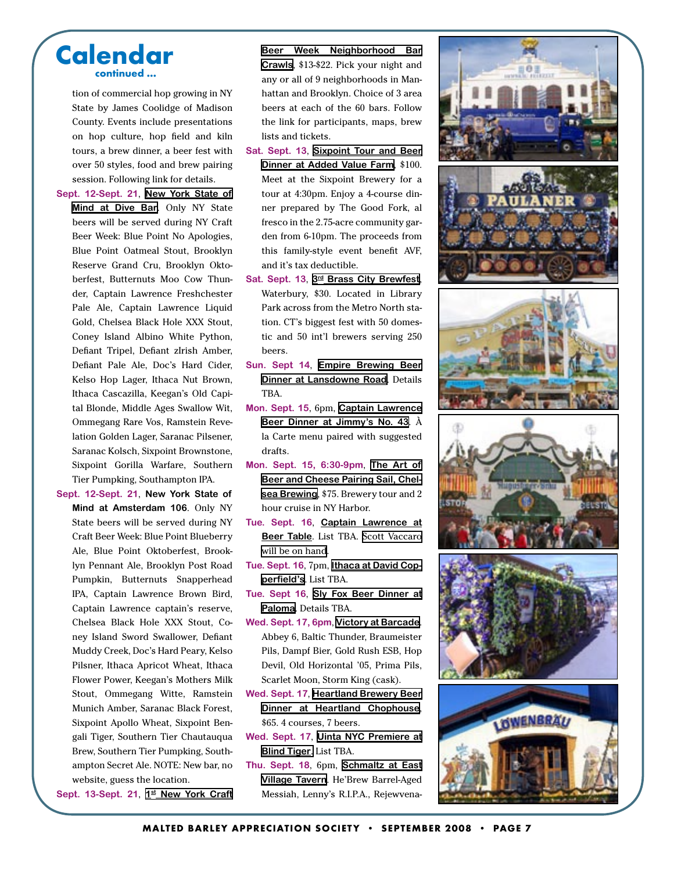

tion of commercial hop growing in NY State by James Coolidge of Madison County. Events include presentations on hop culture, hop field and kiln tours, a brew dinner, a beer fest with over 50 styles, food and brew pairing session. Following link for details.

- **Sept. 12-Sept. 21**, **[New York State of](http://www.divebarnyc.com/) [Mind at Dive Bar](http://www.divebarnyc.com/)**. Only NY State beers will be served during NY Craft Beer Week: Blue Point No Apologies, Blue Point Oatmeal Stout, Brooklyn Reserve Grand Cru, Brooklyn Oktoberfest, Butternuts Moo Cow Thunder, Captain Lawrence Freshchester Pale Ale, Captain Lawrence Liquid Gold, Chelsea Black Hole XXX Stout, Coney Island Albino White Python, Defiant Tripel, Defiant zIrish Amber, Defiant Pale Ale, Doc's Hard Cider, Kelso Hop Lager, Ithaca Nut Brown, Ithaca Cascazilla, Keegan's Old Capital Blonde, Middle Ages Swallow Wit, Ommegang Rare Vos, Ramstein Revelation Golden Lager, Saranac Pilsener, Saranac Kolsch, Sixpoint Brownstone, Sixpoint Gorilla Warfare, Southern Tier Pumpking, Southampton IPA.
- **Sept. 12-Sept. 21**, **New York State of Mind at Amsterdam 106**. Only NY State beers will be served during NY Craft Beer Week: Blue Point Blueberry Ale, Blue Point Oktoberfest, Brooklyn Pennant Ale, Brooklyn Post Road Pumpkin, Butternuts Snapperhead IPA, Captain Lawrence Brown Bird, Captain Lawrence captain's reserve, Chelsea Black Hole XXX Stout, Coney Island Sword Swallower, Defiant Muddy Creek, Doc's Hard Peary, Kelso Pilsner, Ithaca Apricot Wheat, Ithaca Flower Power, Keegan's Mothers Milk Stout, Ommegang Witte, Ramstein Munich Amber, Saranac Black Forest, Sixpoint Apollo Wheat, Sixpoint Bengali Tiger, Southern Tier Chautauqua Brew, Southern Tier Pumpking, Southampton Secret Ale. NOTE: New bar, no website, guess the location.
- Sept. 13-Sept. 21, [1st New York Craft](http://nybrewfest.com/)

#### **[Beer Week Neighborhood Bar](http://nybrewfest.com/)**

**[Crawls](http://nybrewfest.com/)**, \$13-\$22. Pick your night and any or all of 9 neighborhoods in Manhattan and Brooklyn. Choice of 3 area beers at each of the 60 bars. Follow the link for participants, maps, brew lists and tickets.

- **Sat. Sept. 13**, **[Sixpoint Tour and Beer](http://www.goodfork.com/)  [Dinner at Added Value Farm](http://www.goodfork.com/)**, \$100. Meet at the Sixpoint Brewery for a tour at 4:30pm. Enjoy a 4-course dinner prepared by The Good Fork, al fresco in the 2.75-acre community garden from 6-10pm. The proceeds from this family-style event benefit AVF, and it's tax deductible.
- **Sat. Sept. 13**, **[3rd Brass City Brewfest](http://www.brasscitybrewfest.com/)**, Waterbury, \$30. Located in Library Park across from the Metro North station. CT's biggest fest with 50 domestic and 50 int'l brewers serving 250 beers.
- **Sun. Sept 14**, **[Empire Brewing Beer](http://www.lansdowneroadnyc.com/)  [Dinner at Lansdowne Road](http://www.lansdowneroadnyc.com/)**. Details **TRA**
- **Mon. Sept. 15**, 6pm, **[Captain Lawrence](http://www.jimmysno43.com/)  [Beer Dinner at Jimmy's No. 43](http://www.jimmysno43.com/)**. À la Carte menu paired with suggested drafts.
- **Mon. Sept. 15, 6:30-9pm**, **[The Art of](http://www.sail-nyc.com/html/special_events.html)  [Beer and Cheese Pairing Sail, Chel](http://www.sail-nyc.com/html/special_events.html)[sea Brewing](http://www.sail-nyc.com/html/special_events.html)**, \$75. Brewery tour and 2 hour cruise in NY Harbor.
- **Tue. Sept. 16**, **Captain Lawrence at Beer Table**. List TBA. [Scott Vaccaro](http://www.zumschneider.com/events.htm)  [will be on hand.](http://www.zumschneider.com/events.htm)
- **Tue. Sept. 16**, 7pm, **[Ithaca at David Cop](http://www.davidcopperfields.com/)[perfield's](http://www.davidcopperfields.com/)**. List TBA.
- **Tue. Sept 16**, **[Sly Fox Beer Dinner at](http://www.palomanyc.com/)  [Paloma](http://www.palomanyc.com/)**. Details TBA.
- **Wed. Sept. 17, 6pm**, **[Victory at Barcade](http://www.barcadebrooklyn.com/)**. Abbey 6, Baltic Thunder, Braumeister Pils, Dampf Bier, Gold Rush ESB, Hop Devil, Old Horizontal '05, Prima Pils, Scarlet Moon, Storm King (cask).
- **Wed. Sept. 17**, **[Heartland Brewery Beer](http://72.167.25.128/Heartland/media/heartlandbrewery.html)  [Dinner at Heartland Chophouse](http://72.167.25.128/Heartland/media/heartlandbrewery.html)**, \$65. 4 courses, 7 beers.
- **Wed. Sept. 17**, **[Uinta NYC Premiere at](http://blindtigeralehouse.com/)  [Blind Tiger](http://blindtigeralehouse.com/)**. List TBA.
- **Thu. Sept. 18**, 6pm, **[Schmaltz at East](http://www.eastvillagetavernnyc.com/)  [Village Tavern](http://www.eastvillagetavernnyc.com/)**. He'Brew Barrel-Aged Messiah, Lenny's R.I.P.A., Rejewvena-